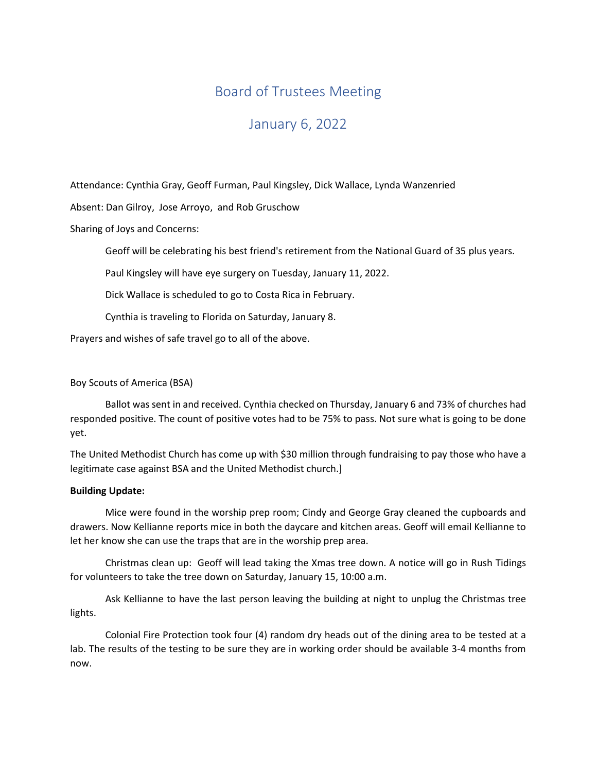# Board of Trustees Meeting

# January 6, 2022

Attendance: Cynthia Gray, Geoff Furman, Paul Kingsley, Dick Wallace, Lynda Wanzenried

Absent: Dan Gilroy, Jose Arroyo, and Rob Gruschow

Sharing of Joys and Concerns:

Geoff will be celebrating his best friend's retirement from the National Guard of 35 plus years.

Paul Kingsley will have eye surgery on Tuesday, January 11, 2022.

Dick Wallace is scheduled to go to Costa Rica in February.

Cynthia is traveling to Florida on Saturday, January 8.

Prayers and wishes of safe travel go to all of the above.

# Boy Scouts of America (BSA)

Ballot was sent in and received. Cynthia checked on Thursday, January 6 and 73% of churches had responded positive. The count of positive votes had to be 75% to pass. Not sure what is going to be done yet.

The United Methodist Church has come up with \$30 million through fundraising to pay those who have a legitimate case against BSA and the United Methodist church.]

# Building Update:

 Mice were found in the worship prep room; Cindy and George Gray cleaned the cupboards and drawers. Now Kellianne reports mice in both the daycare and kitchen areas. Geoff will email Kellianne to let her know she can use the traps that are in the worship prep area.

 Christmas clean up: Geoff will lead taking the Xmas tree down. A notice will go in Rush Tidings for volunteers to take the tree down on Saturday, January 15, 10:00 a.m.

 Ask Kellianne to have the last person leaving the building at night to unplug the Christmas tree lights.

 Colonial Fire Protection took four (4) random dry heads out of the dining area to be tested at a lab. The results of the testing to be sure they are in working order should be available 3-4 months from now.